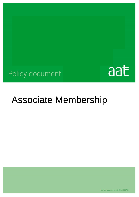## Policy document



# **Associate Membership**

AAT is a registered charity. No. 1050724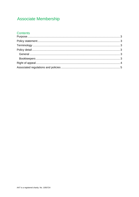## **Associate Membership**

### **Contents**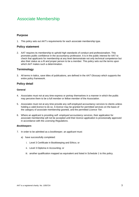## Associate Membership

#### **Purpose**

1. This policy sets out AAT's requirements for each *associate* membership type.

#### **Policy statement**

2. AAT requires its membership to uphold high standards of conduct and professionalism. This promotes public confidence in the accountancy profession. It is in the public interest for AAT to check that *applicants* for membership at any level demonstrate not only technical competence but also their status as a *fit and proper* person to be a *member*. This policy sets out the terms upon which AAT makes such a determination.

#### **Terminology**

3. All terms in italics, save titles of publications, are defined in the *AAT Glossary* which supports the entire policy framework.

#### **Policy detail**

#### **General**

- 4. *Associates* must not at any time express or portray themselves in a manner in which the public may perceive them to be a *full member* or *fellow member* of the *Association.*
- 5. *Associates* must not at any time provide any *self-employed accountancy services* to clients unless holding a valid *licence* to do so. A *licence* may be granted for permitted services on the basis of the category of *associate* membership granted, and the permitted *Licence Tier*.
- 6. Where an *applicant* is providing *self- employed accountancy services*, their application for *associate* membership will not be accepted until their *licence application* is provisionally approved in accordance with the *Licensing Regulations*.

#### *Bookkeepers*

- 7. In order to be admitted as a *bookkeeper*, an *applicant* must:
	- a) have successfully completed:
		- i. Level 3 Certificate in Bookkeeping and Ethics; or
		- ii. Level 3 Diploma in Accounting; or
		- iii. another qualification mapped as equivalent and listed in Schedule 1 to this policy.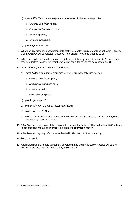- b) meet AAT's *fit and proper* requirements as set out in the following policies:
	- i. *Criminal Convictions* policy
	- ii. *Disciplinary Sanctions* policy
	- iii. *Insolvency* policy
	- iv. *Civil Sanctions* policy
- c) pay the *prescribed fee*.
- 8. Where an *applicant* does not demonstrate that they meet the requirements as set out in 7 above, their *application* will be rejected, unless AAT considers it would be unfair to do so**.**
- 9. Where an *applicant* does demonstrate that they meet the requirements set out in 7 above, they may be admitted to *associate* membership, and permitted to use the designation AATQB.
- 10. Once admitted, a *bookkeeper* must at all times:
	- a) meet AAT's *fit and proper* requirements as set out in the following policies:
		- i. *Criminal Convictions* policy
		- ii. *Disciplinary Sanctions* policy
		- iii. *Insolvency* policy
		- iv. *Civil Sanctions* policy
	- b) pay the *prescribed fee*
	- c) comply with AAT's *Code of Professional Ethics*
	- d) comply with the *CPD* policy
	- e) hold a valid *licence* in accordance with the *Licensing Regulations* if providing *self-employed accountancy services* to clients.
- 11. A *bookkeeper* must successfully complete the indirect tax unit in addition to the Level 3 Certificate in Bookkeeping and Ethics in order to be eligible to apply for a *licence*.
- 12. A *bookkeeper* may only offer services detailed in Tier 4 of the *Licensing* policy.

#### **Right of appeal**

13. Applicants have the right to appeal any decisions made under this policy. Appeals will be dealt with in accordance with the *Appeals Regulations 2015.*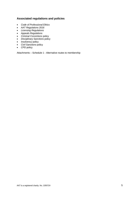#### **Associated regulations and policies**

- *Code of Professional Ethics*
- *AAT Regulations 2016*
- *Licensing Regulations*
- *Appeals Regulations*
- *Criminal Convictions* policy
- *Disciplinary Sanctions* policy
- *Insolvency* policy
- *Civil Sanctions* policy
- *CPD* policy

Attachments – Schedule 1 - Alternative routes to membership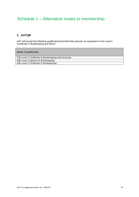## Schedule 1 – Alternative routes to membership

#### **1. AATQB**

AAT will accept the following qualifications/membership statuses as equivalent to the Level 3 Certificate in Bookkeeping and Ethics:

Name of qualification

ICB Level 3 Certificate in Bookkeeping and Accounts IAB Level 3 Diploma In Bookkeeping IAB Level 3 Certificate In Bookkeeping